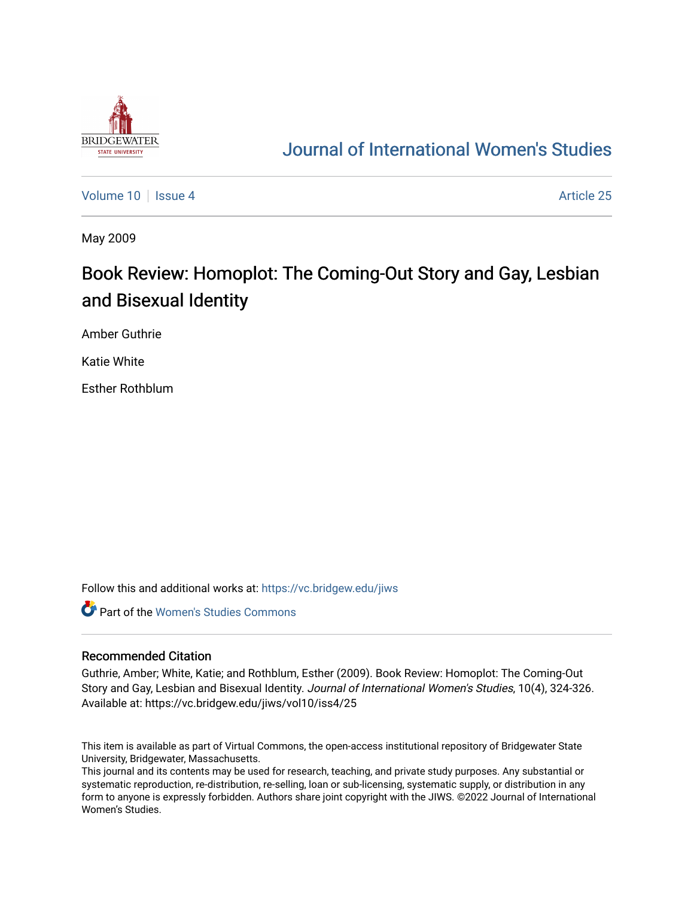

## [Journal of International Women's Studies](https://vc.bridgew.edu/jiws)

[Volume 10](https://vc.bridgew.edu/jiws/vol10) | [Issue 4](https://vc.bridgew.edu/jiws/vol10/iss4) Article 25

May 2009

## Book Review: Homoplot: The Coming-Out Story and Gay, Lesbian and Bisexual Identity

Amber Guthrie

Katie White

Esther Rothblum

Follow this and additional works at: [https://vc.bridgew.edu/jiws](https://vc.bridgew.edu/jiws?utm_source=vc.bridgew.edu%2Fjiws%2Fvol10%2Fiss4%2F25&utm_medium=PDF&utm_campaign=PDFCoverPages)

**C** Part of the Women's Studies Commons

## Recommended Citation

Guthrie, Amber; White, Katie; and Rothblum, Esther (2009). Book Review: Homoplot: The Coming-Out Story and Gay, Lesbian and Bisexual Identity. Journal of International Women's Studies, 10(4), 324-326. Available at: https://vc.bridgew.edu/jiws/vol10/iss4/25

This item is available as part of Virtual Commons, the open-access institutional repository of Bridgewater State University, Bridgewater, Massachusetts.

This journal and its contents may be used for research, teaching, and private study purposes. Any substantial or systematic reproduction, re-distribution, re-selling, loan or sub-licensing, systematic supply, or distribution in any form to anyone is expressly forbidden. Authors share joint copyright with the JIWS. ©2022 Journal of International Women's Studies.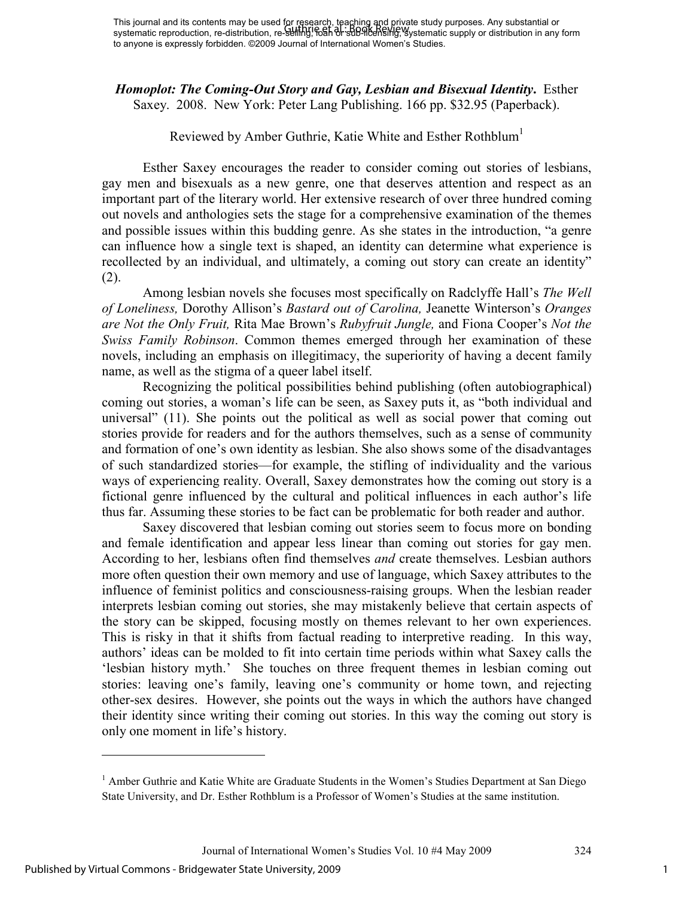*Homoplot: The Coming-Out Story and Gay, Lesbian and Bisexual Identity***.** Esther Saxey. 2008. New York: Peter Lang Publishing. 166 pp. \$32.95 (Paperback).

## Reviewed by Amber Guthrie, Katie White and Esther Rothblum<sup>1</sup>

Esther Saxey encourages the reader to consider coming out stories of lesbians, gay men and bisexuals as a new genre, one that deserves attention and respect as an important part of the literary world. Her extensive research of over three hundred coming out novels and anthologies sets the stage for a comprehensive examination of the themes and possible issues within this budding genre. As she states in the introduction, "a genre can influence how a single text is shaped, an identity can determine what experience is recollected by an individual, and ultimately, a coming out story can create an identity" (2).

Among lesbian novels she focuses most specifically on Radclyffe Hall's *The Well of Loneliness,* Dorothy Allison's *Bastard out of Carolina,* Jeanette Winterson's *Oranges are Not the Only Fruit,* Rita Mae Brown's *Rubyfruit Jungle,* and Fiona Cooper's *Not the Swiss Family Robinson*. Common themes emerged through her examination of these novels, including an emphasis on illegitimacy, the superiority of having a decent family name, as well as the stigma of a queer label itself.

Recognizing the political possibilities behind publishing (often autobiographical) coming out stories, a woman's life can be seen, as Saxey puts it, as "both individual and universal" (11). She points out the political as well as social power that coming out stories provide for readers and for the authors themselves, such as a sense of community and formation of one's own identity as lesbian. She also shows some of the disadvantages of such standardized stories—for example, the stifling of individuality and the various ways of experiencing reality. Overall, Saxey demonstrates how the coming out story is a fictional genre influenced by the cultural and political influences in each author's life thus far. Assuming these stories to be fact can be problematic for both reader and author.

Saxey discovered that lesbian coming out stories seem to focus more on bonding and female identification and appear less linear than coming out stories for gay men. According to her, lesbians often find themselves *and* create themselves. Lesbian authors more often question their own memory and use of language, which Saxey attributes to the influence of feminist politics and consciousness-raising groups. When the lesbian reader interprets lesbian coming out stories, she may mistakenly believe that certain aspects of the story can be skipped, focusing mostly on themes relevant to her own experiences. This is risky in that it shifts from factual reading to interpretive reading. In this way, authors' ideas can be molded to fit into certain time periods within what Saxey calls the 'lesbian history myth.' She touches on three frequent themes in lesbian coming out stories: leaving one's family, leaving one's community or home town, and rejecting other-sex desires. However, she points out the ways in which the authors have changed their identity since writing their coming out stories. In this way the coming out story is only one moment in life's history.

 $\overline{a}$ 

<sup>&</sup>lt;sup>1</sup> Amber Guthrie and Katie White are Graduate Students in the Women's Studies Department at San Diego State University, and Dr. Esther Rothblum is a Professor of Women's Studies at the same institution.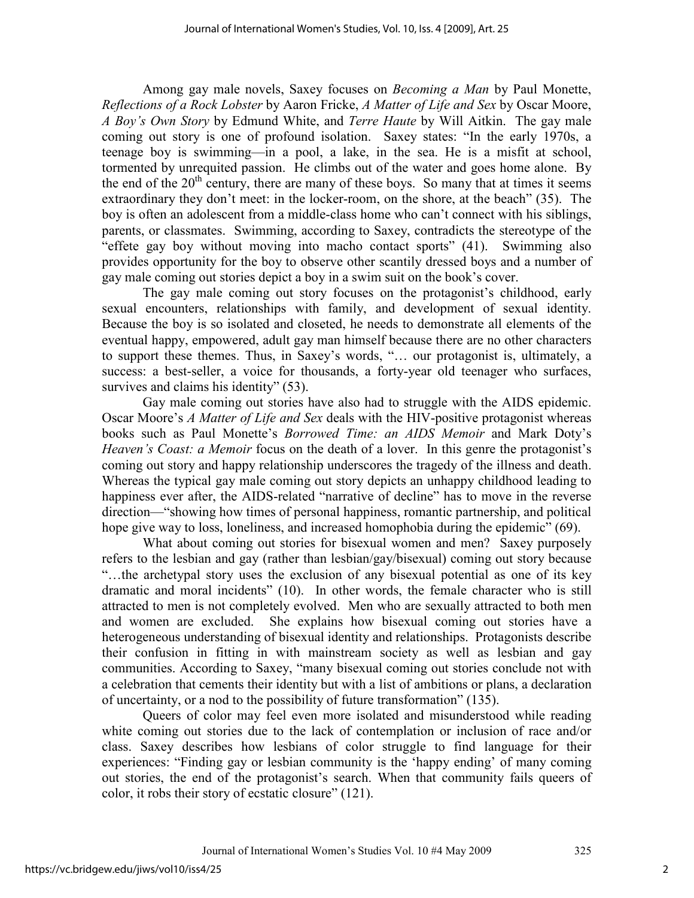Among gay male novels, Saxey focuses on *Becoming a Man* by Paul Monette, *Reflections of a Rock Lobster* by Aaron Fricke, *A Matter of Life and Sex* by Oscar Moore, *A Boy's Own Story* by Edmund White, and *Terre Haute* by Will Aitkin. The gay male coming out story is one of profound isolation. Saxey states: "In the early 1970s, a teenage boy is swimming—in a pool, a lake, in the sea. He is a misfit at school, tormented by unrequited passion. He climbs out of the water and goes home alone. By the end of the  $20<sup>th</sup>$  century, there are many of these boys. So many that at times it seems extraordinary they don't meet: in the locker-room, on the shore, at the beach" (35). The boy is often an adolescent from a middle-class home who can't connect with his siblings, parents, or classmates. Swimming, according to Saxey, contradicts the stereotype of the "effete gay boy without moving into macho contact sports" (41). Swimming also provides opportunity for the boy to observe other scantily dressed boys and a number of gay male coming out stories depict a boy in a swim suit on the book's cover.

The gay male coming out story focuses on the protagonist's childhood, early sexual encounters, relationships with family, and development of sexual identity. Because the boy is so isolated and closeted, he needs to demonstrate all elements of the eventual happy, empowered, adult gay man himself because there are no other characters to support these themes. Thus, in Saxey's words, "… our protagonist is, ultimately, a success: a best-seller, a voice for thousands, a forty-year old teenager who surfaces, survives and claims his identity" (53).

Gay male coming out stories have also had to struggle with the AIDS epidemic. Oscar Moore's *A Matter of Life and Sex* deals with the HIV-positive protagonist whereas books such as Paul Monette's *Borrowed Time: an AIDS Memoir* and Mark Doty's *Heaven's Coast: a Memoir* focus on the death of a lover. In this genre the protagonist's coming out story and happy relationship underscores the tragedy of the illness and death. Whereas the typical gay male coming out story depicts an unhappy childhood leading to happiness ever after, the AIDS-related "narrative of decline" has to move in the reverse direction—"showing how times of personal happiness, romantic partnership, and political hope give way to loss, loneliness, and increased homophobia during the epidemic" (69).

What about coming out stories for bisexual women and men? Saxey purposely refers to the lesbian and gay (rather than lesbian/gay/bisexual) coming out story because "…the archetypal story uses the exclusion of any bisexual potential as one of its key dramatic and moral incidents" (10). In other words, the female character who is still attracted to men is not completely evolved. Men who are sexually attracted to both men and women are excluded. She explains how bisexual coming out stories have a heterogeneous understanding of bisexual identity and relationships. Protagonists describe their confusion in fitting in with mainstream society as well as lesbian and gay communities. According to Saxey, "many bisexual coming out stories conclude not with a celebration that cements their identity but with a list of ambitions or plans, a declaration of uncertainty, or a nod to the possibility of future transformation" (135).

Queers of color may feel even more isolated and misunderstood while reading white coming out stories due to the lack of contemplation or inclusion of race and/or class. Saxey describes how lesbians of color struggle to find language for their experiences: "Finding gay or lesbian community is the 'happy ending' of many coming out stories, the end of the protagonist's search. When that community fails queers of color, it robs their story of ecstatic closure" (121).